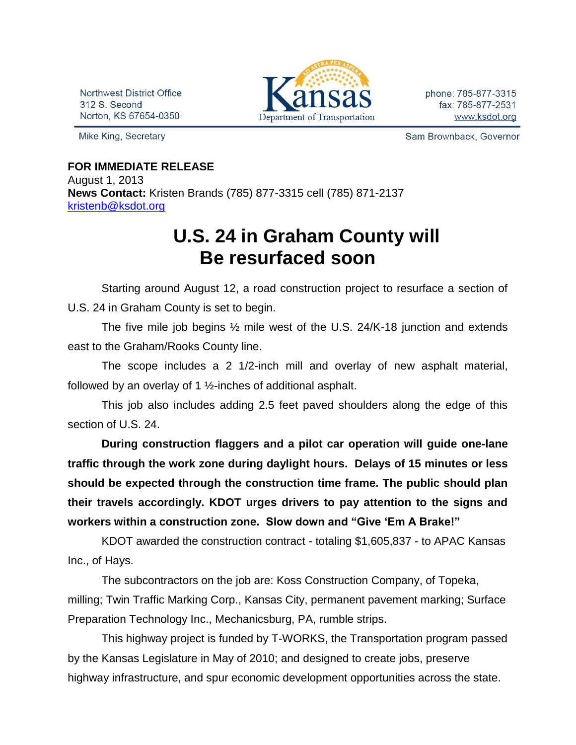Northwest District Office 312 S. Second Norton, KS 67654-0350

Mike King, Secretary



phone: 785-877-3315 fax: 785-877-2531 www.ksdot.org

Sam Brownback, Governor

## **FOR IMMEDIATE RELEASE**

August 1, 2013 **News Contact:** Kristen Brands (785) 877-3315 cell (785) 871-2137 [kristenb@ksdot.org](mailto:kristenb@ksdot.org)

## **U.S. 24 in Graham County will Be resurfaced soon**

Starting around August 12, a road construction project to resurface a section of U.S. 24 in Graham County is set to begin.

The five mile job begins ½ mile west of the U.S. 24/K-18 junction and extends east to the Graham/Rooks County line.

The scope includes a 2 1/2-inch mill and overlay of new asphalt material, followed by an overlay of 1 ½-inches of additional asphalt.

This job also includes adding 2.5 feet paved shoulders along the edge of this section of U.S. 24.

**During construction flaggers and a pilot car operation will guide one-lane traffic through the work zone during daylight hours. Delays of 15 minutes or less should be expected through the construction time frame. The public should plan their travels accordingly. KDOT urges drivers to pay attention to the signs and workers within a construction zone. Slow down and "Give 'Em A Brake!"**

KDOT awarded the construction contract - totaling \$1,605,837 - to APAC Kansas Inc., of Hays.

The subcontractors on the job are: Koss Construction Company, of Topeka, milling; Twin Traffic Marking Corp., Kansas City, permanent pavement marking; Surface Preparation Technology Inc., Mechanicsburg, PA, rumble strips.

This highway project is funded by T-WORKS, the Transportation program passed by the Kansas Legislature in May of 2010; and designed to create jobs, preserve highway infrastructure, and spur economic development opportunities across the state.